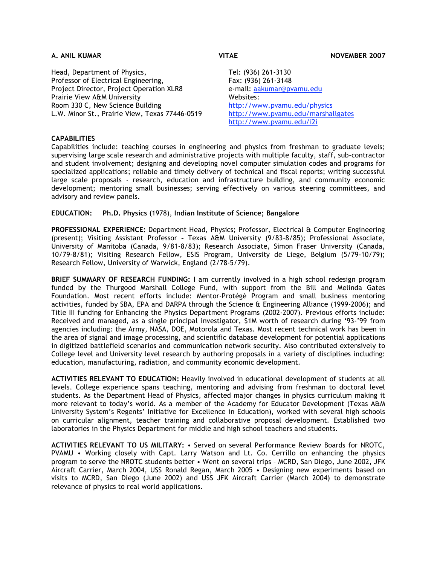Head, Department of Physics, Professor of Electrical Engineering, Project Director, Project Operation XLR8 Prairie View A&M University Room 330 C, New Science Building L.W. Minor St., Prairie View, Texas 77446-0519

Tel: (936) 261-3130 Fax: (936) 261-3148 e-mail: aakumar@pvamu.edu Websites: http://www.pvamu.edu/physics http://www.pvamu.edu/marshallgates http://www.pvamu.edu/i2i

# **CAPABILITIES**

Capabilities include: teaching courses in engineering and physics from freshman to graduate levels; supervising large scale research and administrative projects with multiple faculty, staff, sub-contractor and student involvement; designing and developing novel computer simulation codes and programs for specialized applications; reliable and timely delivery of technical and fiscal reports; writing successful large scale proposals - research, education and infrastructure building, and community economic development; mentoring small businesses; serving effectively on various steering committees, and advisory and review panels.

#### **EDUCATION: Ph.D. Physics (**1978), **Indian Institute of Science; Bangalore**

**PROFESSIONAL EXPERIENCE:** Department Head, Physics; Professor, Electrical & Computer Engineering (present); Visiting Assistant Professor - Texas A&M University (9/83-8/85); Professional Associate, University of Manitoba (Canada, 9/81-8/83); Research Associate, Simon Fraser University (Canada, 10/79-8/81); Visiting Research Fellow, ESIS Program, University de Liege, Belgium (5/79-10/79); Research Fellow, University of Warwick, England (2/78-5/79).

**BRIEF SUMMARY OF RESEARCH FUNDING:** I am currently involved in a high school redesign program funded by the Thurgood Marshall College Fund, with support from the Bill and Melinda Gates Foundation. Most recent efforts include: Mentor-Protégé Program and small business mentoring activities, funded by SBA, EPA and DARPA through the Science & Engineering Alliance (1999-2006); and Title III funding for Enhancing the Physics Department Programs (2002-2007). Previous efforts include**:** Received and managed, as a single principal investigator, \$1M worth of research during '93-'99 from agencies including: the Army, NASA, DOE, Motorola and Texas. Most recent technical work has been in the area of signal and image processing, and scientific database development for potential applications in digitized battlefield scenarios and communication network security. Also contributed extensively to College level and University level research by authoring proposals in a variety of disciplines including: education, manufacturing, radiation, and community economic development.

**ACTIVITIES RELEVANT TO EDUCATION:** Heavily involved in educational development of students at all levels. College experience spans teaching, mentoring and advising from freshman to doctoral level students. As the Department Head of Physics, affected major changes in physics curriculum making it more relevant to today's world. As a member of the Academy for Educator Development (Texas A&M University System's Regents' Initiative for Excellence in Education), worked with several high schools on curricular alignment, teacher training and collaborative proposal development. Established two laboratories in the Physics Department for middle and high school teachers and students.

**ACTIVITIES RELEVANT TO US MILITARY:** • Served on several Performance Review Boards for NROTC, PVAMU • Working closely with Capt. Larry Watson and Lt. Co. Cerrillo on enhancing the physics program to serve the NROTC students better • Went on several trips – MCRD, San Diego, June 2002, JFK Aircraft Carrier, March 2004, USS Ronald Regan, March 2005 • Designing new experiments based on visits to MCRD, San Diego (June 2002) and USS JFK Aircraft Carrier (March 2004) to demonstrate relevance of physics to real world applications.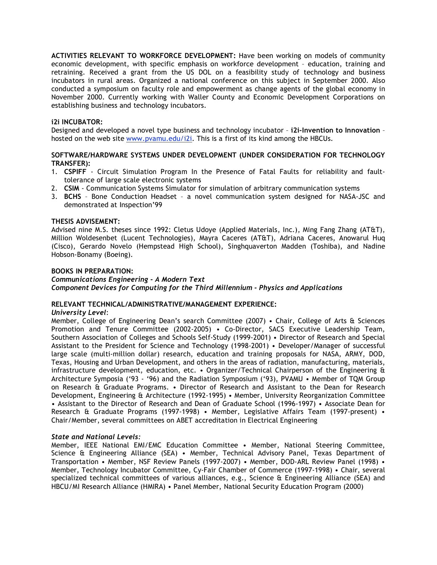**ACTIVITIES RELEVANT TO WORKFORCE DEVELOPMENT:** Have been working on models of community economic development, with specific emphasis on workforce development – education, training and retraining. Received a grant from the US DOL on a feasibility study of technology and business incubators in rural areas. Organized a national conference on this subject in September 2000. Also conducted a symposium on faculty role and empowerment as change agents of the global economy in November 2000. Currently working with Waller County and Economic Development Corporations on establishing business and technology incubators.

# **i2i INCUBATOR:**

Designed and developed a novel type business and technology incubator – **i2i-Invention to Innovation** – hosted on the web site www.pvamu.edu/i2i. This is a first of its kind among the HBCUs.

# **SOFTWARE/HARDWARE SYSTEMS UNDER DEVELOPMENT (UNDER CONSIDERATION FOR TECHNOLOGY TRANSFER):**

- 1. **CSPIFF** Circuit Simulation Program In the Presence of Fatal Faults for reliability and faulttolerance of large scale electronic systems
- 2. **CSIM** Communication Systems Simulator for simulation of arbitrary communication systems
- 3. **BCHS** Bone Conduction Headset a novel communication system designed for NASA-JSC and demonstrated at Inspection'99

## **THESIS ADVISEMENT:**

Advised nine M.S. theses since 1992: Cletus Udoye (Applied Materials, Inc.), Ming Fang Zhang (AT&T), Million Woldesenbet (Lucent Technologies), Mayra Caceres (AT&T), Adriana Caceres, Anowarul Huq (Cisco), Gerardo Novelo (Hempstead High School), Singhquaverton Madden (Toshiba), and Nadine Hobson-Bonamy (Boeing).

## **BOOKS IN PREPARATION:**

## *Communications Engineering - A Modern Text Component Devices for Computing for the Third Millennium - Physics and Applications*

# **RELEVANT TECHNICAL/ADMINISTRATIVE/MANAGEMENT EXPERIENCE:**

#### *University Level*:

Member, College of Engineering Dean's search Committee (2007) • Chair, College of Arts & Sciences Promotion and Tenure Committee (2002-2005) • Co-Director, SACS Executive Leadership Team, Southern Association of Colleges and Schools Self-Study (1999-2001) • Director of Research and Special Assistant to the President for Science and Technology (1998-2001) • Developer/Manager of successful large scale (multi-million dollar) research, education and training proposals for NASA, ARMY, DOD, Texas, Housing and Urban Development, and others in the areas of radiation, manufacturing, materials, infrastructure development, education, etc. • Organizer/Technical Chairperson of the Engineering & Architecture Symposia ('93 - '96) and the Radiation Symposium ('93), PVAMU • Member of TQM Group on Research & Graduate Programs. • Director of Research and Assistant to the Dean for Research Development, Engineering & Architecture (1992-1995) • Member, University Reorganization Committee • Assistant to the Director of Research and Dean of Graduate School (1996-1997) • Associate Dean for Research & Graduate Programs (1997-1998) • Member, Legislative Affairs Team (1997-present) • Chair/Member, several committees on ABET accreditation in Electrical Engineering

# *State and National Levels:*

Member, IEEE National EMI/EMC Education Committee • Member, National Steering Committee, Science & Engineering Alliance (SEA) • Member, Technical Advisory Panel, Texas Department of Transportation • Member, NSF Review Panels (1997-2007) • Member, DOD-ARL Review Panel (1998) • Member, Technology Incubator Committee, Cy-Fair Chamber of Commerce (1997-1998) • Chair, several specialized technical committees of various alliances, e.g., Science & Engineering Alliance (SEA) and HBCU/MI Research Alliance (HMIRA) • Panel Member, National Security Education Program (2000)